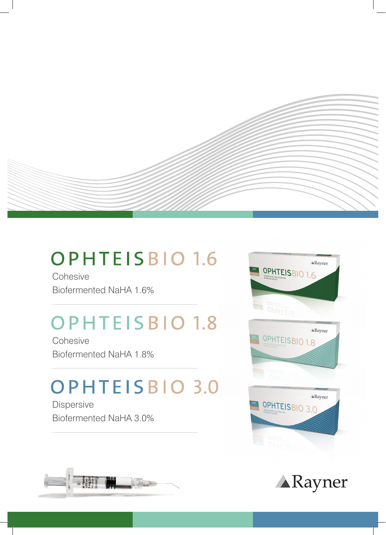

### **OPHTEISBIO 1.6**

**Cohesive** Biofermented NaHA 1.6%

## **OPHTEISBIO 1.8**

**Cohesive** Biofermented NaHA 1.8%

# **OPHTEISBIO 3.0**

Dispersive Biofermented NaHA 3.0%